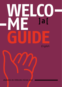# **WELCO– ME** GUDE *English*

akademie der bildenden künste wien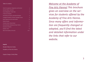#### Table of contents

| Online Pre-registration   Registration and Enrolment | 4              |
|------------------------------------------------------|----------------|
| Important Dates   Curriculum                         | 5              |
| Course Registration   Tuition Fees                   | 6              |
| <b>IT Service for Students</b>                       | $\overline{7}$ |
| Scholarships and Grants   International Students     | 8              |
| Language Competency   German Language Courses        | 9              |
| Equal Treatment and Anti-discrimination              | 10             |
| <b>Student Diversity</b>                             | 11             |
| University Library   Study Abroad                    | 12             |
| Doctoral Studies   Studying and living in Vienna     | 13             |
| <b>Insurance for Students</b>                        | 14             |
| Students' Union                                      | 15             |
| Sites of the Academy of Fine Arts                    | 16/17          |

#### Imprint

Student Welcome Center, Academy of Fine Arts Vienna

Graphic Design: Dmitrij Ritter

*Welcome at the Academy of Fine Arts Vienna! This brochure gives an overview on the services for students offered by the Academy of Fine Arts Vienna. Since many offers and information are frequently changed or adapted, you'll find the latest and detailed information under the links that refer to our website.*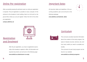# *Online Pre-registration*

*After successfully passing the admission exam an online pre-registration is required. The pre-registration is possible on every computer. At the entrance to the Academy's main building, there is an info point on the ground floor where you can pre-register. Follow this link for the online pre-registration:* 

#### *campus.akbild.ac.at*



# *Registration and Enrolment*

*After the pre-registration, you have to register/enrol personally at the Academy's registrar's office. All information and required documents can be found on the following page: www.akbild.ac.at/admission-to-study*

## *Important Dates*

*All important dates and deadlines of the upcoming academic year can be found on the following webpage:* 

*www.akbild.ac.at/calender\_dates*



## *Curriculum*



*The curriculum provides important information about the contents of the study program, the types of classes (courses, lectures, etc.) and how many credits you need to complete your studies.*

*The curriculum for each study program can be* 

*found on our website:*

*www.akbild.ac.at/study-programs*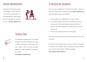## *Course Registration*

*All relevant information about courses at the Academy of Fine Arts Vienna can be found in our information system AkademieOnline. Please register here for all obligatory and elective courses: campus.akbild.ac.at*



#### *Tuition Fees*



*The regulations regarding amount and possible exemptions from tuition fees depend on a range of different requirements. Under certain conditions a waiver or refund of the fees is possible. Detailed and latest information is available on our website:*

*www.akbild.ac.at/tuition-fee*

# *IT Service for Students*

*Once you have completed the enrolment at the registrar's office, you receive your login data for AkademieOnline (campus.akbild.ac.at), where the following services are available:*

- *• Course catalogue and registration for courses and exams.*
- *• Your personal student mail account: We strongly recommend checking your mail account regularly, because all official and important information regarding your studies will be sent to this account only!*
- *• Print of course certificates and study confirmations.*

*All students have free access to the wifi network Eduroam, also at other universities.*

*Each student at the Academy receives a print card. Credits can be bought at the office of your institute. Printing, copying and scanning is possible from all printers at the Academy. Detailed information:*

*www.akbild.ac.at/it-services\_en*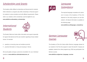# *Scholarships and Grants*

*The Academy offers different scholarships and financial aids for students. Other institutions or programs also offer scholarships or financial support for students in various situations and with different requirements. Please refer to our website, which scholarship could be eligible for you: www.akbild.ac.at/academy\_scholarships*

# *International Students*



*The Student Welcome Center offers information and support especially for regular international and first year students regarding all study-related issues, for example:*

- *• questions concerning visas and residence permits,*
- *• practical information on living and studying in Vienna.*

*We would gladly arrange a personal consultation for your individual questions: www.akbild.ac.at/studentwelcome\_en*



# *Language Competency*

*The required language competence for admission to study at the Academy of Fine Arts depends on the study program you are interested in. All relevant information is available on the following page:*

*www.akbild.ac.at/language\_competency*

# *German Language Courses*



*The Academy of Fine Arts Vienna offers German Language classes for our students in the Fine Arts program to reach the level B1. If places are available, students from other programs (e.g. PhD) may participate in the German courses.* 

*www.akbild.ac.at/german\_language\_courses*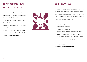# *Equal Treatment and Anti-discrimination*

*In cases of discrimination, which includes verbal discouragement and sexual harassment, the Equal Opportunities Team (AfG) offers information, confidential counselling and help to students, administrative employees, research and teaching staff as well as applicants. If the person agrees, the team supports and guides with the handling of the complaint, either in mediation talks or internal complaint procedures. Further information: www.akbild.ac.at/afg\_en*



# *Student Diversity*

*It's important to the Academy of Fine Arts Vienna to promote the diversity of its students, to address diverse backgrounds, experiences and life paths and to provide the greatest possible support. Depending on your individual situation we offer different services, for example:*

- *• Studying with children*
- *• Psychological Counselling*
- *• Accessibility for all students:*

*You are welcome to bring all questions and matters regarding accessibility to the Student Welcome Center. For further information please have a look at our brochure "Studying with health problems".*

*Further informations:*

#### *www.akbild.ac.at/student\_diversity*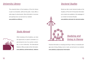# *University Library*

*The university library of the Academy of Fine Arts Vienna is open to all students, staff and the public. It also offers a wide range of cultural events. More information on services and opening hours can be found our website: www.akbild.ac.at/library*

## *Study Abroad*



*When studying at the Academy, you have the opportunity to spend a semester or a year abroad at one of our partner universities, or do an internship. The International Relations Office provides further information: www.akbild.ac.at/international\_relations*

# *Doctoral Studies*

*Would you like to start doctoral studies at the Academy of Fine Arts? All important information and contacts are available on the webpages of our Center for Doctoral Studies:*

*www.akbild.ac.at/center-for-doctoral-studies*

*Studying and living in Vienna*

*Practical information on studying and living in Vienna, for example average costs of living, finding a room or work, can be found on our website: www.akbild.ac.at/practical-information*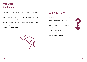# *Insurance for Students*

*Under certain conditions students in Austria may have a co-insurance with a parent until the age of 27.*

*Students may take the students self-insurance offered by the local public Austrian insurance provider (Gebietskrankenkasse). Detailed information regarding insurance issues for your individual situation are available on the following page:*

*www.akbild.ac.at/insurance*



## *Students' Union*

*The Students' Union at the Academy of Fine Arts Vienna is established by law and offers information and support on various questions concerning studying and student life to all students and prospective students. Please find important contacts and detailed information on the website of the Students' Union: www.oehakbild.info*